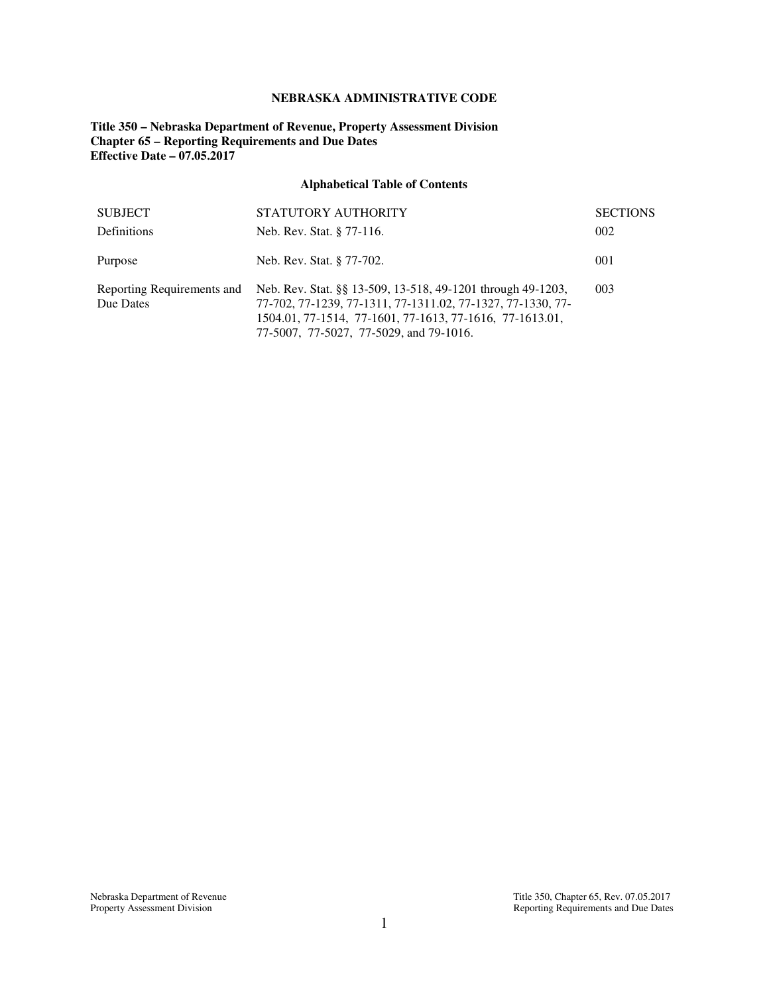## **NEBRASKA ADMINISTRATIVE CODE**

## **Title 350 – Nebraska Department of Revenue, Property Assessment Division Chapter 65 – Reporting Requirements and Due Dates Effective Date – 07.05.2017**

# **Alphabetical Table of Contents**

| <b>SUBJECT</b>                          | STATUTORY AUTHORITY                                                                                                                                                                                                               | <b>SECTIONS</b> |
|-----------------------------------------|-----------------------------------------------------------------------------------------------------------------------------------------------------------------------------------------------------------------------------------|-----------------|
| <b>Definitions</b>                      | Neb. Rev. Stat. § 77-116.                                                                                                                                                                                                         | 002             |
| Purpose                                 | Neb. Rev. Stat. § 77-702.                                                                                                                                                                                                         | 001             |
| Reporting Requirements and<br>Due Dates | Neb. Rev. Stat. §§ 13-509, 13-518, 49-1201 through 49-1203,<br>77-702, 77-1239, 77-1311, 77-1311.02, 77-1327, 77-1330, 77-<br>1504.01, 77-1514, 77-1601, 77-1613, 77-1616, 77-1613.01,<br>77-5007, 77-5027, 77-5029, and 79-1016. | 003             |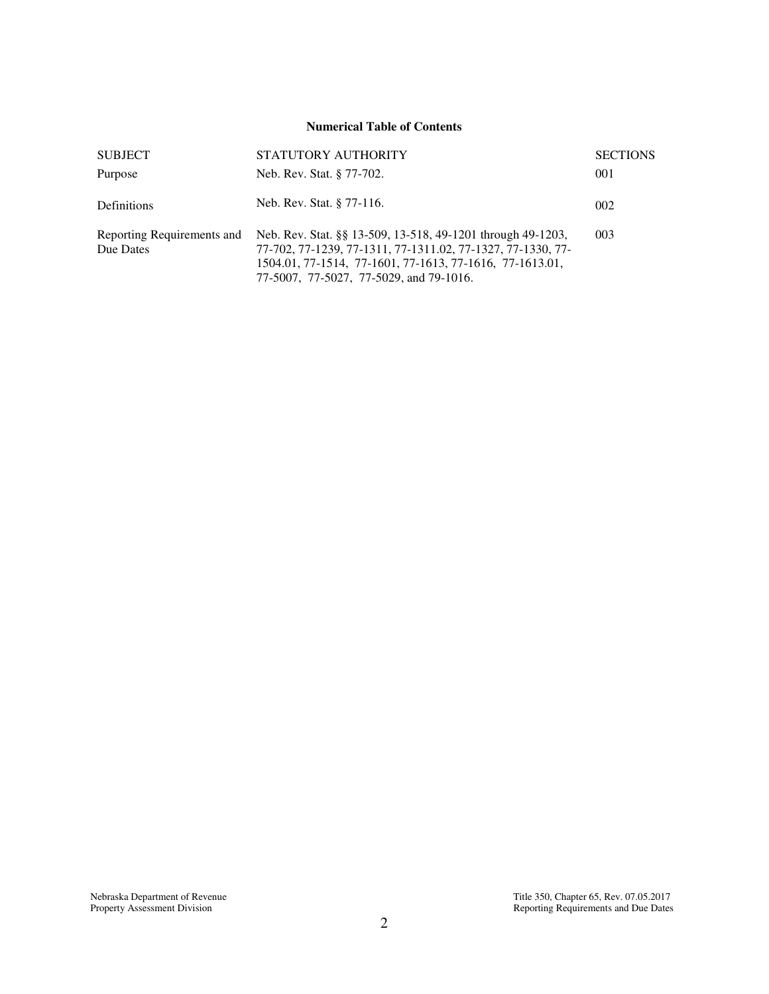### **Numerical Table of Contents**

| <b>SUBJECT</b>                          | STATUTORY AUTHORITY                                                                                                                                                                                                               | <b>SECTIONS</b> |
|-----------------------------------------|-----------------------------------------------------------------------------------------------------------------------------------------------------------------------------------------------------------------------------------|-----------------|
| Purpose                                 | Neb. Rev. Stat. § 77-702.                                                                                                                                                                                                         | 001             |
| <b>Definitions</b>                      | Neb. Rev. Stat. § 77-116.                                                                                                                                                                                                         | 002             |
| Reporting Requirements and<br>Due Dates | Neb. Rev. Stat. §§ 13-509, 13-518, 49-1201 through 49-1203,<br>77-702, 77-1239, 77-1311, 77-1311.02, 77-1327, 77-1330, 77-<br>1504.01, 77-1514, 77-1601, 77-1613, 77-1616, 77-1613.01,<br>77-5007, 77-5027, 77-5029, and 79-1016. | 003             |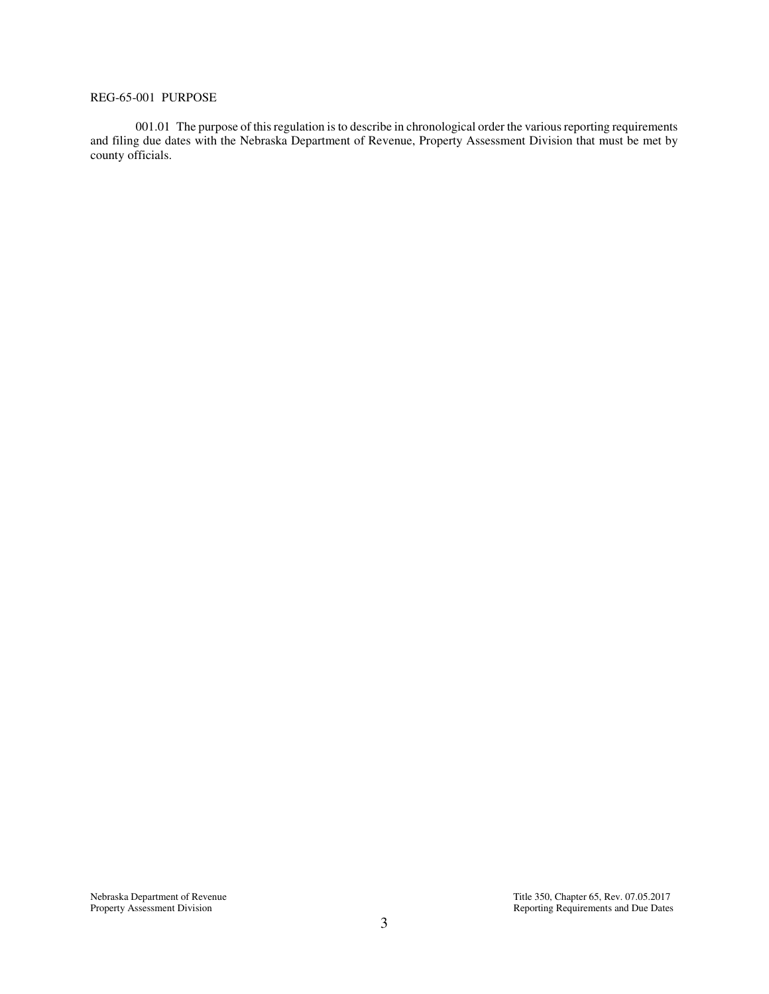## REG-65-001 PURPOSE

 001.01 The purpose of this regulation is to describe in chronological order the various reporting requirements and filing due dates with the Nebraska Department of Revenue, Property Assessment Division that must be met by county officials.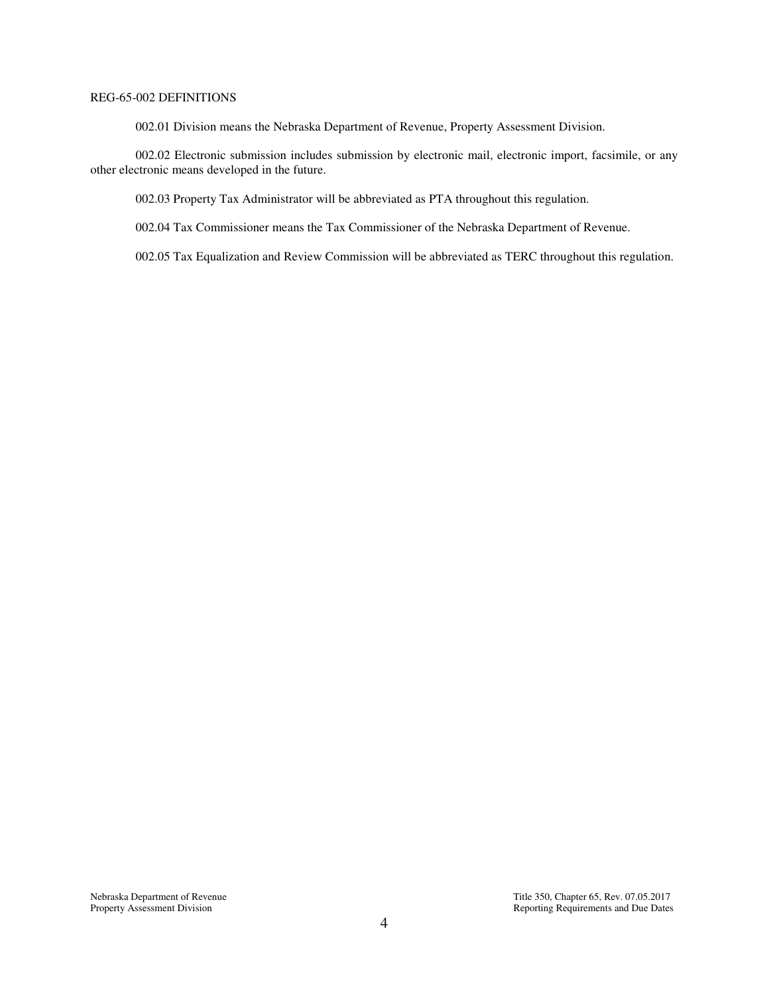## REG-65-002 DEFINITIONS

002.01 Division means the Nebraska Department of Revenue, Property Assessment Division.

 002.02 Electronic submission includes submission by electronic mail, electronic import, facsimile, or any other electronic means developed in the future.

002.03 Property Tax Administrator will be abbreviated as PTA throughout this regulation.

002.04 Tax Commissioner means the Tax Commissioner of the Nebraska Department of Revenue.

002.05 Tax Equalization and Review Commission will be abbreviated as TERC throughout this regulation.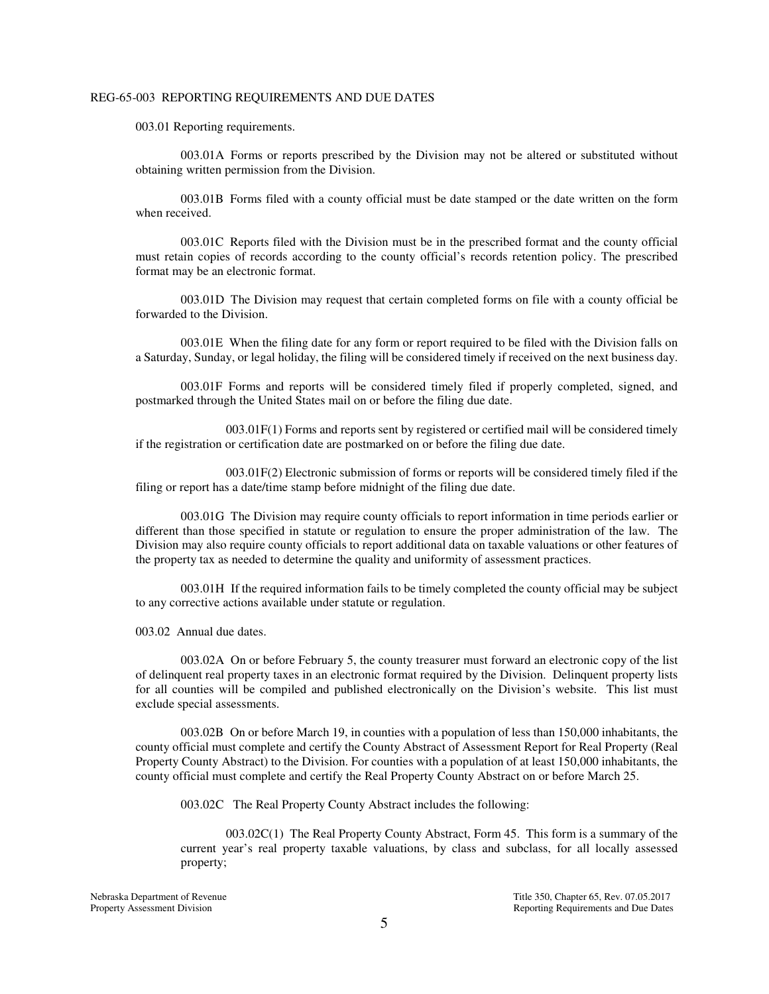#### REG-65-003 REPORTING REQUIREMENTS AND DUE DATES

003.01 Reporting requirements.

003.01A Forms or reports prescribed by the Division may not be altered or substituted without obtaining written permission from the Division.

003.01B Forms filed with a county official must be date stamped or the date written on the form when received.

003.01C Reports filed with the Division must be in the prescribed format and the county official must retain copies of records according to the county official's records retention policy. The prescribed format may be an electronic format.

003.01D The Division may request that certain completed forms on file with a county official be forwarded to the Division.

003.01E When the filing date for any form or report required to be filed with the Division falls on a Saturday, Sunday, or legal holiday, the filing will be considered timely if received on the next business day.

003.01F Forms and reports will be considered timely filed if properly completed, signed, and postmarked through the United States mail on or before the filing due date.

 003.01F(1) Forms and reports sent by registered or certified mail will be considered timely if the registration or certification date are postmarked on or before the filing due date.

 003.01F(2) Electronic submission of forms or reports will be considered timely filed if the filing or report has a date/time stamp before midnight of the filing due date.

003.01G The Division may require county officials to report information in time periods earlier or different than those specified in statute or regulation to ensure the proper administration of the law. The Division may also require county officials to report additional data on taxable valuations or other features of the property tax as needed to determine the quality and uniformity of assessment practices.

003.01H If the required information fails to be timely completed the county official may be subject to any corrective actions available under statute or regulation.

003.02 Annual due dates.

 003.02A On or before February 5, the county treasurer must forward an electronic copy of the list of delinquent real property taxes in an electronic format required by the Division. Delinquent property lists for all counties will be compiled and published electronically on the Division's website. This list must exclude special assessments.

 003.02B On or before March 19, in counties with a population of less than 150,000 inhabitants, the county official must complete and certify the County Abstract of Assessment Report for Real Property (Real Property County Abstract) to the Division. For counties with a population of at least 150,000 inhabitants, the county official must complete and certify the Real Property County Abstract on or before March 25.

003.02C The Real Property County Abstract includes the following:

 003.02C(1) The Real Property County Abstract, Form 45. This form is a summary of the current year's real property taxable valuations, by class and subclass, for all locally assessed property;

Nebraska Department of Revenue Title 350, Chapter 65, Rev. 07.05.2017 Property Assessment Division **Property Assessment Division** Reporting Requirements and Due Dates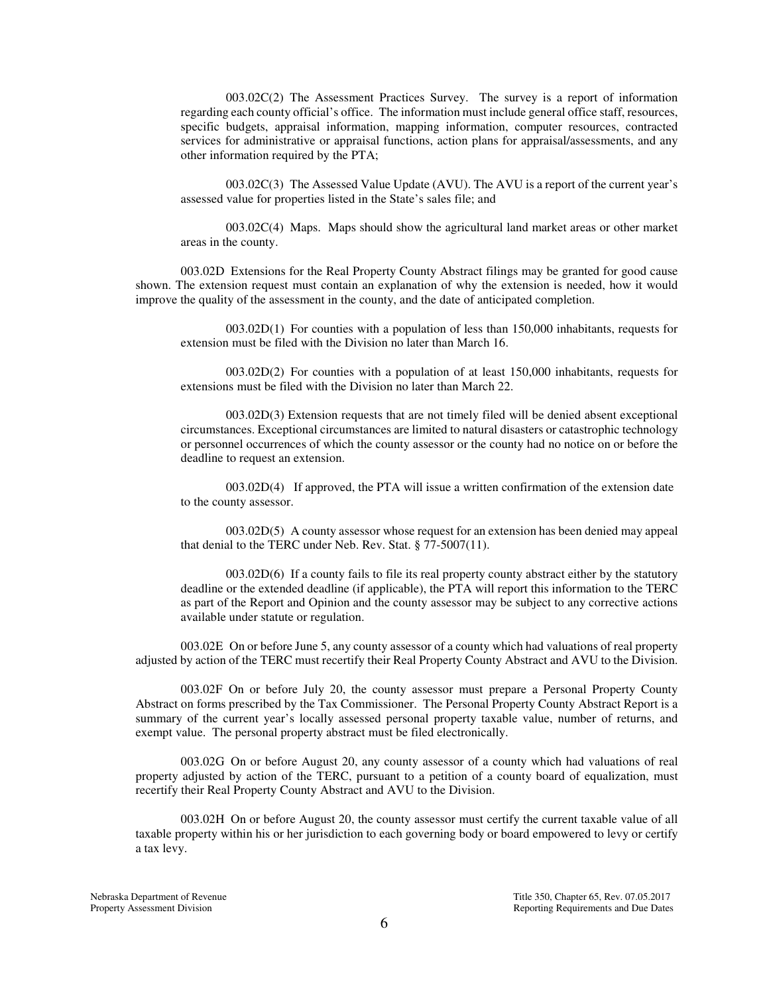003.02C(2) The Assessment Practices Survey. The survey is a report of information regarding each county official's office. The information must include general office staff, resources, specific budgets, appraisal information, mapping information, computer resources, contracted services for administrative or appraisal functions, action plans for appraisal/assessments, and any other information required by the PTA;

 003.02C(3) The Assessed Value Update (AVU). The AVU is a report of the current year's assessed value for properties listed in the State's sales file; and

 003.02C(4) Maps. Maps should show the agricultural land market areas or other market areas in the county.

003.02D Extensions for the Real Property County Abstract filings may be granted for good cause shown. The extension request must contain an explanation of why the extension is needed, how it would improve the quality of the assessment in the county, and the date of anticipated completion.

 003.02D(1) For counties with a population of less than 150,000 inhabitants, requests for extension must be filed with the Division no later than March 16.

 003.02D(2) For counties with a population of at least 150,000 inhabitants, requests for extensions must be filed with the Division no later than March 22.

 003.02D(3) Extension requests that are not timely filed will be denied absent exceptional circumstances. Exceptional circumstances are limited to natural disasters or catastrophic technology or personnel occurrences of which the county assessor or the county had no notice on or before the deadline to request an extension.

003.02D(4) If approved, the PTA will issue a written confirmation of the extension date to the county assessor.

 003.02D(5) A county assessor whose request for an extension has been denied may appeal that denial to the TERC under Neb. Rev. Stat. § 77-5007(11).

 003.02D(6) If a county fails to file its real property county abstract either by the statutory deadline or the extended deadline (if applicable), the PTA will report this information to the TERC as part of the Report and Opinion and the county assessor may be subject to any corrective actions available under statute or regulation.

003.02E On or before June 5, any county assessor of a county which had valuations of real property adjusted by action of the TERC must recertify their Real Property County Abstract and AVU to the Division.

003.02F On or before July 20, the county assessor must prepare a Personal Property County Abstract on forms prescribed by the Tax Commissioner. The Personal Property County Abstract Report is a summary of the current year's locally assessed personal property taxable value, number of returns, and exempt value. The personal property abstract must be filed electronically.

003.02G On or before August 20, any county assessor of a county which had valuations of real property adjusted by action of the TERC, pursuant to a petition of a county board of equalization, must recertify their Real Property County Abstract and AVU to the Division.

003.02H On or before August 20, the county assessor must certify the current taxable value of all taxable property within his or her jurisdiction to each governing body or board empowered to levy or certify a tax levy.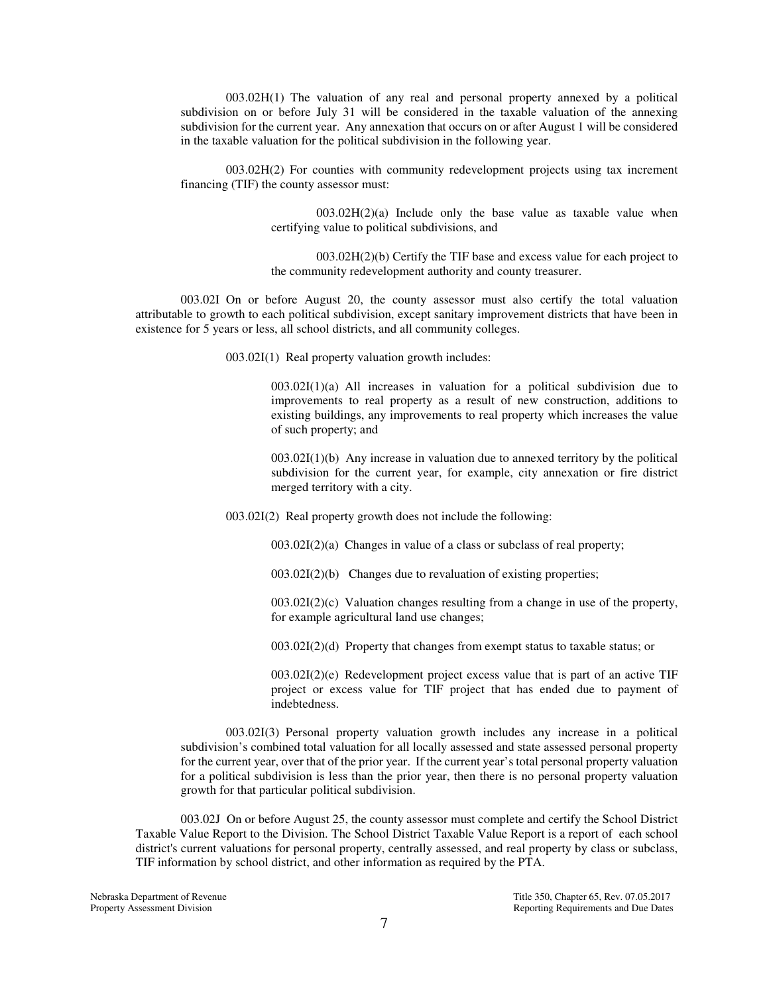003.02H(1) The valuation of any real and personal property annexed by a political subdivision on or before July 31 will be considered in the taxable valuation of the annexing subdivision for the current year. Any annexation that occurs on or after August 1 will be considered in the taxable valuation for the political subdivision in the following year.

003.02H(2) For counties with community redevelopment projects using tax increment financing (TIF) the county assessor must:

> 003.02H(2)(a) Include only the base value as taxable value when certifying value to political subdivisions, and

> 003.02H(2)(b) Certify the TIF base and excess value for each project to the community redevelopment authority and county treasurer.

003.02I On or before August 20, the county assessor must also certify the total valuation attributable to growth to each political subdivision, except sanitary improvement districts that have been in existence for 5 years or less, all school districts, and all community colleges.

003.02I(1) Real property valuation growth includes:

003.02I(1)(a) All increases in valuation for a political subdivision due to improvements to real property as a result of new construction, additions to existing buildings, any improvements to real property which increases the value of such property; and

 $003.02I(1)(b)$  Any increase in valuation due to annexed territory by the political subdivision for the current year, for example, city annexation or fire district merged territory with a city.

003.02I(2) Real property growth does not include the following:

003.02I(2)(a) Changes in value of a class or subclass of real property;

003.02I(2)(b) Changes due to revaluation of existing properties;

 $003.02I(2)(c)$  Valuation changes resulting from a change in use of the property, for example agricultural land use changes;

 $003.02I(2)(d)$  Property that changes from exempt status to taxable status; or

003.02I(2)(e) Redevelopment project excess value that is part of an active TIF project or excess value for TIF project that has ended due to payment of indebtedness.

003.02I(3) Personal property valuation growth includes any increase in a political subdivision's combined total valuation for all locally assessed and state assessed personal property for the current year, over that of the prior year. If the current year's total personal property valuation for a political subdivision is less than the prior year, then there is no personal property valuation growth for that particular political subdivision.

 003.02J On or before August 25, the county assessor must complete and certify the School District Taxable Value Report to the Division. The School District Taxable Value Report is a report of each school district's current valuations for personal property, centrally assessed, and real property by class or subclass, TIF information by school district, and other information as required by the PTA.

Nebraska Department of Revenue Title 350, Chapter 65, Rev. 07.05.2017 Property Assessment Division **Property Assessment Division** Reporting Requirements and Due Dates